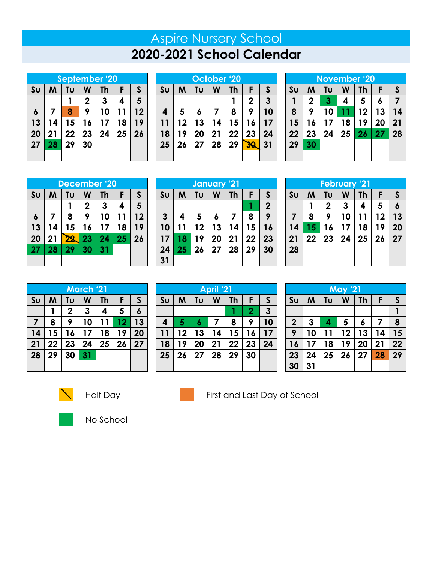# Aspire Nursery School **2020-2021 School Calendar**

|                | <b>September '20</b> |    |             |           |    |                |  |  |
|----------------|----------------------|----|-------------|-----------|----|----------------|--|--|
| S <sub>U</sub> | M                    | Tυ | W           | <b>Th</b> | F  | $\mathsf{s}$   |  |  |
|                |                      |    | $\mathbf 2$ | 3         | 4  | $5\phantom{1}$ |  |  |
| 6              | 7                    | 8  | 9           | 10        | 11 | 12             |  |  |
| 13             | 14                   | 15 | 16          | 17        | 18 | 19             |  |  |
| 20             | 21                   | 22 | 23          | 24        | 25 | 26             |  |  |
| 27             | 28                   | 29 | 30          |           |    |                |  |  |
|                |                      |    |             |           |    |                |  |  |

| October '20    |                              |    |             |    |    |    |  |
|----------------|------------------------------|----|-------------|----|----|----|--|
| S <sub>U</sub> | S<br>W<br>F<br>M<br>Tu<br>Th |    |             |    |    |    |  |
|                |                              |    | $\mathbf 2$ | 3  |    |    |  |
| 4              | 5                            | 6  | 7           | 8  | 9  | 10 |  |
| 11             | 12                           | 13 | 14          | 15 | 16 | 17 |  |
| 18             | 19                           | 20 | 21          | 22 | 23 | 24 |  |
| 25             | 26                           | 27 | 28          | 29 | 30 | 31 |  |
|                |                              |    |             |    |    |    |  |

| <b>November '20</b> |             |    |    |           |    |              |  |  |
|---------------------|-------------|----|----|-----------|----|--------------|--|--|
| S <sub>U</sub>      | M           | Tu | W  | <b>Th</b> | F  | $\mathsf{S}$ |  |  |
| 1                   | $\mathbf 2$ | 3  | 4  | 5         | 6  | 7            |  |  |
| 8                   | 9           | 10 | 11 | 12        | 13 | 14           |  |  |
| 15                  | 16          | 17 | 18 | 19        | 20 | 21           |  |  |
| 22                  | 23          | 24 | 25 | 26        | 27 | 28           |  |  |
| 29                  | 30          |    |    |           |    |              |  |  |
|                     |             |    |    |           |    |              |  |  |

| December '20   |                         |           |             |              |    |                |  |
|----------------|-------------------------|-----------|-------------|--------------|----|----------------|--|
| S <sub>U</sub> | M                       | Tυ        | W           | <b>Th</b>    | F  | $\mathsf{S}$   |  |
|                |                         |           | $\mathbf 2$ | $\mathbf{3}$ | 4  | $5\phantom{1}$ |  |
| 6              | $\overline{\mathbf{z}}$ | 8         | 9           | 10           | 11 | 12             |  |
| 13             | 14                      | 15        | 16          | 17           | 18 | 19             |  |
| 20             | 21                      | <u>22</u> | 23          | 24           | 25 | 26             |  |
| 27             | 28                      | 29        | 30          | 31           |    |                |  |
|                |                         |           |             |              |    |                |  |

| January 21     |                              |    |             |    |    |    |  |  |
|----------------|------------------------------|----|-------------|----|----|----|--|--|
| S <sub>U</sub> | Tυ<br>S<br>Th<br>F<br>W<br>M |    |             |    |    |    |  |  |
|                |                              |    | $\mathbf 2$ |    |    |    |  |  |
| $\mathbf{3}$   | 4                            | 5  | 6           |    | 8  | 9  |  |  |
| 10             | 11                           | 12 | 13          | 14 | 15 | 16 |  |  |
| 17             | 18                           | 19 | 20          | 21 | 22 | 23 |  |  |
| 24             | 25                           | 26 | 27          | 28 | 29 | 30 |  |  |
| 31             |                              |    |             |    |    |    |  |  |

| <b>February '21</b>             |    |    |    |    |    |              |  |  |
|---------------------------------|----|----|----|----|----|--------------|--|--|
| Su                              | M  | Tυ | W  | Th | F  | $\mathsf{S}$ |  |  |
| 5<br>3<br>$\mathbf 2$<br>4<br>6 |    |    |    |    |    |              |  |  |
| 7                               | 8  | 9  | 10 | 11 | 12 | 13           |  |  |
| 14                              | 15 | 16 | 17 | 18 | 19 | 20           |  |  |
| 21                              | 22 | 23 | 24 | 25 | 26 | 27           |  |  |
| 28                              |    |    |    |    |    |              |  |  |
|                                 |    |    |    |    |    |              |  |  |

| <b>March '21</b> |    |             |    |    |    |    |  |
|------------------|----|-------------|----|----|----|----|--|
| S <sub>U</sub>   | M  | Tυ          | W  | Th | F  | S  |  |
|                  |    | $\mathbf 2$ | 3  | 4  | 5  | 6  |  |
| 7                | 8  | 9           | 10 | 11 | 12 | 13 |  |
| 14               | 15 | 16          | 17 | 18 | 19 | 20 |  |
| 21               | 22 | 23          | 24 | 25 | 26 | 27 |  |
| 28               | 29 | 30          | 31 |    |    |    |  |
|                  |    |             |    |    |    |    |  |

| <b>April</b> '21 |                                         |    |    |    |                |              |  |  |
|------------------|-----------------------------------------|----|----|----|----------------|--------------|--|--|
| <b>Su</b>        | $\mathsf{S}$<br>Tu<br>W<br>M<br>F<br>Th |    |    |    |                |              |  |  |
|                  |                                         |    |    |    | $\overline{2}$ | $\mathbf{3}$ |  |  |
| 4                | 5                                       | 6  | 7  | 8  | 9              | 10           |  |  |
| 11               | 12                                      | 13 | 14 | 15 | 16             | 17           |  |  |
| 18               | 19                                      | 20 | 21 | 22 | 23             | 24           |  |  |
| 25               | 26                                      | 27 | 28 | 29 | 30             |              |  |  |
|                  |                                         |    |    |    |                |              |  |  |

| <b>May '21</b>   |                         |    |    |    |    |    |  |
|------------------|-------------------------|----|----|----|----|----|--|
| S <sub>U</sub>   | Tu<br>W<br>Th<br>F<br>M |    |    |    |    |    |  |
|                  |                         |    |    |    |    |    |  |
| $\boldsymbol{2}$ | 3                       | 4  | 5  | 6  | 7  | 8  |  |
| 9                | 10                      | 11 | 12 | 13 | 14 | 15 |  |
| 16               | 17                      | 18 | 19 | 20 | 21 | 22 |  |
| 23               | 24                      | 25 | 26 | 27 | 28 | 29 |  |
| 30               | 31                      |    |    |    |    |    |  |





Half Day **First and Last Day of School** 



No School